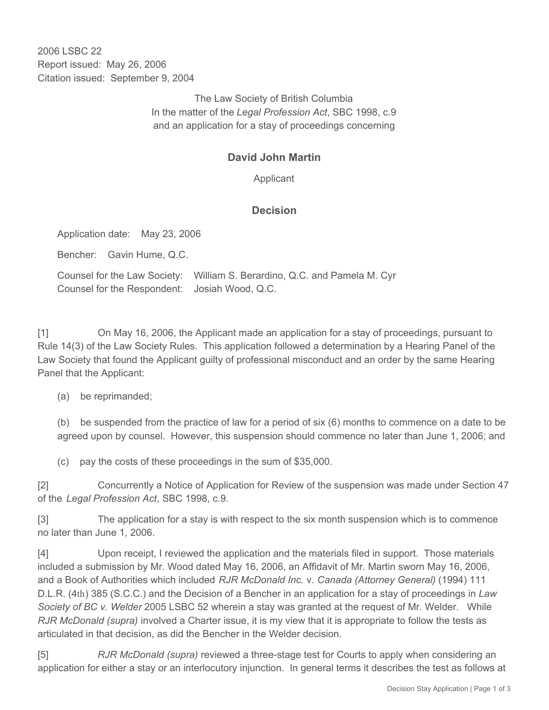2006 LSBC 22 Report issued: May 26, 2006 Citation issued: September 9, 2004

> The Law Society of British Columbia In the matter of the *Legal Profession Act*, SBC 1998, c.9 and an application for a stay of proceedings concerning

## **David John Martin**

Applicant

## **Decision**

Application date: May 23, 2006

Bencher: Gavin Hume, Q.C.

Counsel for the Law Society: William S. Berardino, Q.C. and Pamela M. Cyr Counsel for the Respondent: Josiah Wood, Q.C.

[1] On May 16, 2006, the Applicant made an application for a stay of proceedings, pursuant to Rule 14(3) of the Law Society Rules. This application followed a determination by a Hearing Panel of the Law Society that found the Applicant guilty of professional misconduct and an order by the same Hearing Panel that the Applicant:

(a) be reprimanded;

(b) be suspended from the practice of law for a period of six (6) months to commence on a date to be agreed upon by counsel. However, this suspension should commence no later than June 1, 2006; and

(c) pay the costs of these proceedings in the sum of \$35,000.

[2] Concurrently a Notice of Application for Review of the suspension was made under Section 47 of the *Legal Profession Act*, SBC 1998, c.9.

[3] The application for a stay is with respect to the six month suspension which is to commence no later than June 1, 2006.

[4] Upon receipt, I reviewed the application and the materials filed in support. Those materials included a submission by Mr. Wood dated May 16, 2006, an Affidavit of Mr. Martin sworn May 16, 2006, and a Book of Authorities which included *RJR McDonald Inc.* v. *Canada (Attorney General)* (1994) 111 D.L.R. (4th) 385 (S.C.C.) and the Decision of a Bencher in an application for a stay of proceedings in *Law Society of BC v. Welder* 2005 LSBC 52 wherein a stay was granted at the request of Mr. Welder. While *RJR McDonald (supra)* involved a Charter issue, it is my view that it is appropriate to follow the tests as articulated in that decision, as did the Bencher in the Welder decision.

[5] *RJR McDonald (supra)* reviewed a three-stage test for Courts to apply when considering an application for either a stay or an interlocutory injunction. In general terms it describes the test as follows at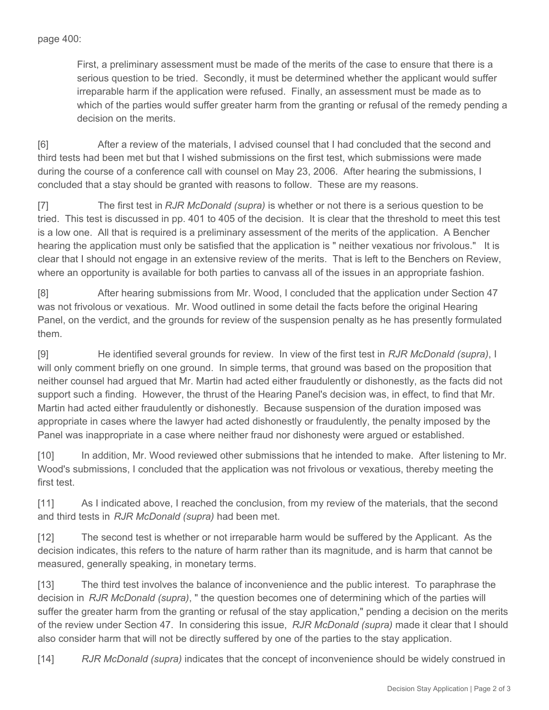First, a preliminary assessment must be made of the merits of the case to ensure that there is a serious question to be tried. Secondly, it must be determined whether the applicant would suffer irreparable harm if the application were refused. Finally, an assessment must be made as to which of the parties would suffer greater harm from the granting or refusal of the remedy pending a decision on the merits.

[6] After a review of the materials, I advised counsel that I had concluded that the second and third tests had been met but that I wished submissions on the first test, which submissions were made during the course of a conference call with counsel on May 23, 2006. After hearing the submissions, I concluded that a stay should be granted with reasons to follow. These are my reasons.

[7] The first test in *RJR McDonald (supra)* is whether or not there is a serious question to be tried. This test is discussed in pp. 401 to 405 of the decision. It is clear that the threshold to meet this test is a low one. All that is required is a preliminary assessment of the merits of the application. A Bencher hearing the application must only be satisfied that the application is " neither vexatious nor frivolous." It is clear that I should not engage in an extensive review of the merits. That is left to the Benchers on Review, where an opportunity is available for both parties to canvass all of the issues in an appropriate fashion.

[8] After hearing submissions from Mr. Wood, I concluded that the application under Section 47 was not frivolous or vexatious. Mr. Wood outlined in some detail the facts before the original Hearing Panel, on the verdict, and the grounds for review of the suspension penalty as he has presently formulated them.

[9] He identified several grounds for review. In view of the first test in *RJR McDonald (supra)*, I will only comment briefly on one ground. In simple terms, that ground was based on the proposition that neither counsel had argued that Mr. Martin had acted either fraudulently or dishonestly, as the facts did not support such a finding. However, the thrust of the Hearing Panel's decision was, in effect, to find that Mr. Martin had acted either fraudulently or dishonestly. Because suspension of the duration imposed was appropriate in cases where the lawyer had acted dishonestly or fraudulently, the penalty imposed by the Panel was inappropriate in a case where neither fraud nor dishonesty were argued or established.

[10] In addition, Mr. Wood reviewed other submissions that he intended to make. After listening to Mr. Wood's submissions, I concluded that the application was not frivolous or vexatious, thereby meeting the first test.

[11] As I indicated above, I reached the conclusion, from my review of the materials, that the second and third tests in *RJR McDonald (supra)* had been met.

[12] The second test is whether or not irreparable harm would be suffered by the Applicant. As the decision indicates, this refers to the nature of harm rather than its magnitude, and is harm that cannot be measured, generally speaking, in monetary terms.

[13] The third test involves the balance of inconvenience and the public interest. To paraphrase the decision in *RJR McDonald (supra)*, " the question becomes one of determining which of the parties will suffer the greater harm from the granting or refusal of the stay application," pending a decision on the merits of the review under Section 47. In considering this issue, *RJR McDonald (supra)* made it clear that I should also consider harm that will not be directly suffered by one of the parties to the stay application.

[14] *RJR McDonald (supra)* indicates that the concept of inconvenience should be widely construed in